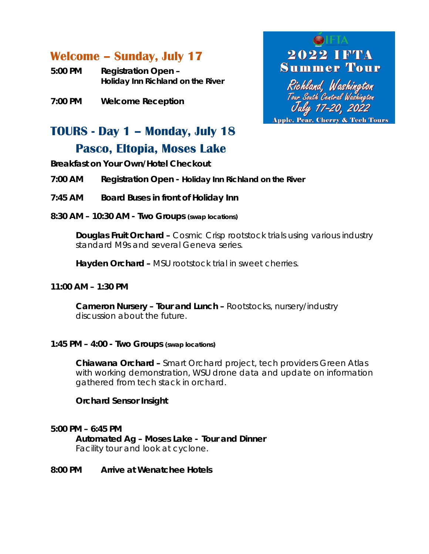## **Welcome – Sunday, July 17**

**5:00 PM Registration Open – Holiday Inn Richland on the River**

**7:00 PM Welcome Reception** 

# **2022 IFTA Summer Tour** Richland, Washington Tour South Central Washington Unly 17-20, 202. **Apple, Pear, Cherry & Tech Tours**

# **TOURS - Day 1 – Monday, July 18 Pasco, Eltopia, Moses Lake**

**Breakfast on Your Own/Hotel Checkout** 

**7:00 AM Registration Open - Holiday Inn Richland on the River**

- **7:45 AM Board Buses in front of Holiday Inn**
- **8:30 AM 10:30 AM Two Groups (swap locations)**

**Douglas Fruit Orchard –** Cosmic Crisp rootstock trials using various industry standard M9s and several Geneva series.

**Hayden Orchard –** MSU rootstock trial in sweet cherries.

### **11:00 AM – 1:30 PM**

**Cameron Nursery – Tour and Lunch –** Rootstocks, nursery/industry discussion about the future.

### **1:45 PM – 4:00 - Two Groups (swap locations)**

**Chiawana Orchard –** Smart Orchard project, tech providers Green Atlas with working demonstration, WSU drone data and update on information gathered from tech stack in orchard.

### **Orchard Sensor Insight**

### **5:00 PM – 6:45 PM**

 **Automated Ag – Moses Lake - Tour and Dinner**  Facility tour and look at cyclone.

### **8:00 PM Arrive at Wenatchee Hotels**